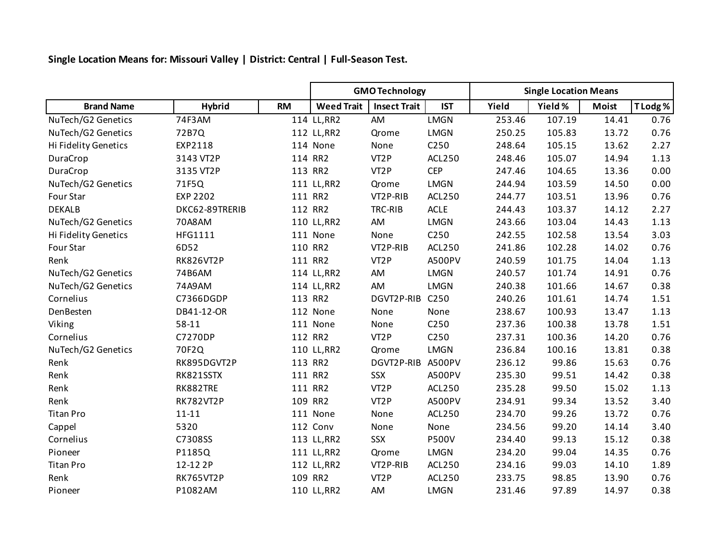**Single Location Means for: Missouri Valley | District: Central | Full-Season Test.**

|                      |                  |           | <b>GMO Technology</b> |                     |                  | <b>Single Location Means</b> |         |              |          |  |
|----------------------|------------------|-----------|-----------------------|---------------------|------------------|------------------------------|---------|--------------|----------|--|
| <b>Brand Name</b>    | <b>Hybrid</b>    | <b>RM</b> | <b>Weed Trait</b>     | <b>Insect Trait</b> | <b>IST</b>       | Yield                        | Yield % | <b>Moist</b> | T Lodg % |  |
| NuTech/G2 Genetics   | 74F3AM           |           | 114 LL, RR2           | AM                  | <b>LMGN</b>      | 253.46                       | 107.19  | 14.41        | 0.76     |  |
| NuTech/G2 Genetics   | 72B7Q            |           | 112 LL, RR2           | Qrome               | <b>LMGN</b>      | 250.25                       | 105.83  | 13.72        | 0.76     |  |
| Hi Fidelity Genetics | EXP2118          |           | 114 None              | None                | C250             | 248.64                       | 105.15  | 13.62        | 2.27     |  |
| DuraCrop             | 3143 VT2P        |           | 114 RR2               | VT <sub>2</sub> P   | <b>ACL250</b>    | 248.46                       | 105.07  | 14.94        | 1.13     |  |
| DuraCrop             | 3135 VT2P        |           | 113 RR2               | VT <sub>2</sub> P   | <b>CEP</b>       | 247.46                       | 104.65  | 13.36        | 0.00     |  |
| NuTech/G2 Genetics   | 71F5Q            |           | 111 LL, RR2           | Qrome               | <b>LMGN</b>      | 244.94                       | 103.59  | 14.50        | 0.00     |  |
| Four Star            | <b>EXP 2202</b>  |           | 111 RR2               | VT2P-RIB            | <b>ACL250</b>    | 244.77                       | 103.51  | 13.96        | 0.76     |  |
| <b>DEKALB</b>        | DKC62-89TRERIB   |           | 112 RR2               | TRC-RIB             | <b>ACLE</b>      | 244.43                       | 103.37  | 14.12        | 2.27     |  |
| NuTech/G2 Genetics   | 70A8AM           |           | 110 LL, RR2           | AM                  | <b>LMGN</b>      | 243.66                       | 103.04  | 14.43        | 1.13     |  |
| Hi Fidelity Genetics | HFG1111          |           | 111 None              | None                | C250             | 242.55                       | 102.58  | 13.54        | 3.03     |  |
| Four Star            | 6D52             |           | 110 RR2               | VT2P-RIB            | ACL250           | 241.86                       | 102.28  | 14.02        | 0.76     |  |
| Renk                 | <b>RK826VT2P</b> |           | 111 RR2               | VT <sub>2</sub> P   | A500PV           | 240.59                       | 101.75  | 14.04        | 1.13     |  |
| NuTech/G2 Genetics   | 74B6AM           |           | 114 LL, RR2           | AM                  | <b>LMGN</b>      | 240.57                       | 101.74  | 14.91        | 0.76     |  |
| NuTech/G2 Genetics   | 74A9AM           |           | 114 LL, RR2           | AM                  | <b>LMGN</b>      | 240.38                       | 101.66  | 14.67        | 0.38     |  |
| Cornelius            | C7366DGDP        |           | 113 RR2               | DGVT2P-RIB          | C <sub>250</sub> | 240.26                       | 101.61  | 14.74        | 1.51     |  |
| DenBesten            | DB41-12-OR       |           | 112 None              | None                | None             | 238.67                       | 100.93  | 13.47        | 1.13     |  |
| Viking               | 58-11            |           | 111 None              | None                | C250             | 237.36                       | 100.38  | 13.78        | 1.51     |  |
| Cornelius            | C7270DP          |           | 112 RR2               | VT <sub>2</sub> P   | C250             | 237.31                       | 100.36  | 14.20        | 0.76     |  |
| NuTech/G2 Genetics   | 70F2Q            |           | 110 LL, RR2           | Qrome               | <b>LMGN</b>      | 236.84                       | 100.16  | 13.81        | 0.38     |  |
| Renk                 | RK895DGVT2P      |           | 113 RR2               | DGVT2P-RIB A500PV   |                  | 236.12                       | 99.86   | 15.63        | 0.76     |  |
| Renk                 | RK821SSTX        |           | 111 RR2               | <b>SSX</b>          | A500PV           | 235.30                       | 99.51   | 14.42        | 0.38     |  |
| Renk                 | RK882TRE         |           | 111 RR2               | VT <sub>2</sub> P   | <b>ACL250</b>    | 235.28                       | 99.50   | 15.02        | 1.13     |  |
| Renk                 | <b>RK782VT2P</b> |           | 109 RR2               | VT <sub>2</sub> P   | A500PV           | 234.91                       | 99.34   | 13.52        | 3.40     |  |
| <b>Titan Pro</b>     | $11 - 11$        |           | 111 None              | None                | <b>ACL250</b>    | 234.70                       | 99.26   | 13.72        | 0.76     |  |
| Cappel               | 5320             |           | 112 Conv              | None                | None             | 234.56                       | 99.20   | 14.14        | 3.40     |  |
| Cornelius            | C7308SS          |           | 113 LL, RR2           | <b>SSX</b>          | <b>P500V</b>     | 234.40                       | 99.13   | 15.12        | 0.38     |  |
| Pioneer              | P1185Q           |           | 111 LL, RR2           | Qrome               | LMGN             | 234.20                       | 99.04   | 14.35        | 0.76     |  |
| <b>Titan Pro</b>     | 12-12 2P         |           | 112 LL, RR2           | VT2P-RIB            | <b>ACL250</b>    | 234.16                       | 99.03   | 14.10        | 1.89     |  |
| Renk                 | <b>RK765VT2P</b> |           | 109 RR2               | VT <sub>2</sub> P   | <b>ACL250</b>    | 233.75                       | 98.85   | 13.90        | 0.76     |  |
| Pioneer              | P1082AM          |           | 110 LL, RR2           | AM                  | <b>LMGN</b>      | 231.46                       | 97.89   | 14.97        | 0.38     |  |